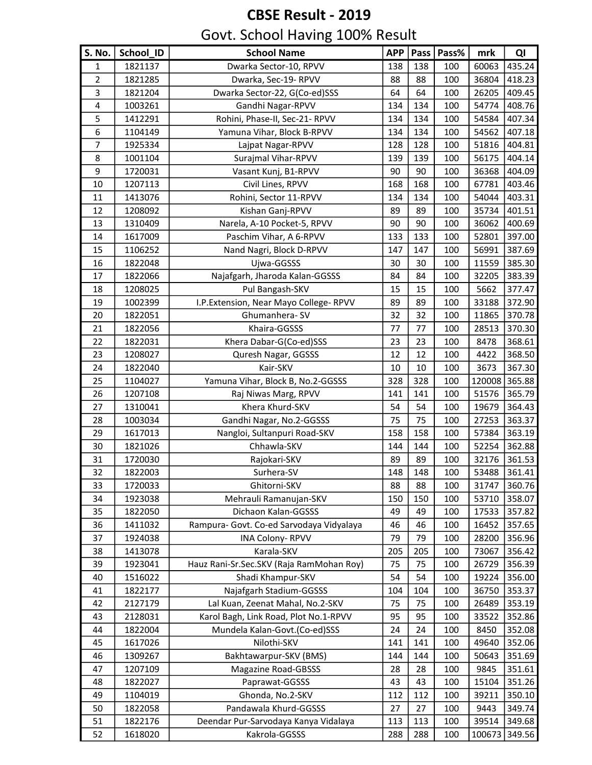| S. No.                  | School_ID | <b>School Name</b>                       | <b>APP</b> | Pass | Pass% | mrk    | QI     |
|-------------------------|-----------|------------------------------------------|------------|------|-------|--------|--------|
| 1                       | 1821137   | Dwarka Sector-10, RPVV                   | 138        | 138  | 100   | 60063  | 435.24 |
| 2                       | 1821285   | Dwarka, Sec-19- RPVV                     | 88         | 88   | 100   | 36804  | 418.23 |
| 3                       | 1821204   | Dwarka Sector-22, G(Co-ed)SSS            | 64         | 64   | 100   | 26205  | 409.45 |
| $\overline{\mathbf{4}}$ | 1003261   | Gandhi Nagar-RPVV                        | 134        | 134  | 100   | 54774  | 408.76 |
| 5                       | 1412291   | Rohini, Phase-II, Sec-21- RPVV           | 134        | 134  | 100   | 54584  | 407.34 |
| 6                       | 1104149   | Yamuna Vihar, Block B-RPVV               | 134        | 134  | 100   | 54562  | 407.18 |
| $\overline{7}$          | 1925334   | Lajpat Nagar-RPVV                        | 128        | 128  | 100   | 51816  | 404.81 |
| 8                       | 1001104   | Surajmal Vihar-RPVV                      | 139        | 139  | 100   | 56175  | 404.14 |
| 9                       | 1720031   | Vasant Kunj, B1-RPVV                     | 90         | 90   | 100   | 36368  | 404.09 |
| 10                      | 1207113   | Civil Lines, RPVV                        | 168        | 168  | 100   | 67781  | 403.46 |
| 11                      | 1413076   | Rohini, Sector 11-RPVV                   | 134        | 134  | 100   | 54044  | 403.31 |
| 12                      | 1208092   | Kishan Ganj-RPVV                         | 89         | 89   | 100   | 35734  | 401.51 |
| 13                      | 1310409   | Narela, A-10 Pocket-5, RPVV              | 90         | 90   | 100   | 36062  | 400.69 |
| 14                      | 1617009   | Paschim Vihar, A 6-RPVV                  | 133        | 133  | 100   | 52801  | 397.00 |
| 15                      | 1106252   | Nand Nagri, Block D-RPVV                 | 147        | 147  | 100   | 56991  | 387.69 |
| 16                      | 1822048   | Ujwa-GGSSS                               | 30         | 30   | 100   | 11559  | 385.30 |
| 17                      | 1822066   | Najafgarh, Jharoda Kalan-GGSSS           | 84         | 84   | 100   | 32205  | 383.39 |
| 18                      | 1208025   | Pul Bangash-SKV                          | 15         | 15   | 100   | 5662   | 377.47 |
| 19                      | 1002399   | I.P. Extension, Near Mayo College-RPVV   | 89         | 89   | 100   | 33188  | 372.90 |
| 20                      | 1822051   | Ghumanhera-SV                            | 32         | 32   | 100   | 11865  | 370.78 |
| 21                      | 1822056   | Khaira-GGSSS                             | 77         | 77   | 100   | 28513  | 370.30 |
| 22                      | 1822031   | Khera Dabar-G(Co-ed)SSS                  | 23         | 23   | 100   | 8478   | 368.61 |
| 23                      | 1208027   | Quresh Nagar, GGSSS                      | 12         | 12   | 100   | 4422   | 368.50 |
| 24                      | 1822040   | Kair-SKV                                 | $10\,$     | 10   | 100   | 3673   | 367.30 |
| 25                      | 1104027   | Yamuna Vihar, Block B, No.2-GGSSS        | 328        | 328  | 100   | 120008 | 365.88 |
| 26                      | 1207108   | Raj Niwas Marg, RPVV                     | 141        | 141  | 100   | 51576  | 365.79 |
| 27                      | 1310041   | Khera Khurd-SKV                          | 54         | 54   | 100   | 19679  | 364.43 |
| 28                      | 1003034   | Gandhi Nagar, No.2-GGSSS                 | 75         | 75   | 100   | 27253  | 363.37 |
| 29                      | 1617013   | Nangloi, Sultanpuri Road-SKV             | 158        | 158  | 100   | 57384  | 363.19 |
| 30                      | 1821026   | Chhawla-SKV                              | 144        | 144  | 100   | 52254  | 362.88 |
| 31                      | 1720030   | Rajokari-SKV                             | 89         | 89   | 100   | 32176  | 361.53 |
| 32                      | 1822003   | Surhera-SV                               | 148        | 148  | 100   | 53488  | 361.41 |
| 33                      | 1720033   | Ghitorni-SKV                             | 88         | 88   | 100   | 31747  | 360.76 |
| 34                      | 1923038   | Mehrauli Ramanujan-SKV                   | 150        | 150  | 100   | 53710  | 358.07 |
| 35                      | 1822050   | Dichaon Kalan-GGSSS                      | 49         | 49   | 100   | 17533  | 357.82 |
| 36                      | 1411032   | Rampura- Govt. Co-ed Sarvodaya Vidyalaya | 46         | 46   | 100   | 16452  | 357.65 |
| 37                      | 1924038   | <b>INA Colony-RPVV</b>                   | 79         | 79   | 100   | 28200  | 356.96 |
| 38                      | 1413078   | Karala-SKV                               | 205        | 205  | 100   | 73067  | 356.42 |
| 39                      | 1923041   | Hauz Rani-Sr.Sec.SKV (Raja RamMohan Roy) | 75         | 75   | 100   | 26729  | 356.39 |
| 40                      | 1516022   | Shadi Khampur-SKV                        | 54         | 54   | 100   | 19224  | 356.00 |
| 41                      | 1822177   | Najafgarh Stadium-GGSSS                  | 104        | 104  | 100   | 36750  | 353.37 |
| 42                      | 2127179   | Lal Kuan, Zeenat Mahal, No.2-SKV         | 75         | 75   | 100   | 26489  | 353.19 |
| 43                      | 2128031   | Karol Bagh, Link Road, Plot No.1-RPVV    | 95         | 95   | 100   | 33522  | 352.86 |
| 44                      | 1822004   | Mundela Kalan-Govt.(Co-ed)SSS            | 24         | 24   | 100   | 8450   | 352.08 |
| 45                      | 1617026   | Nilothi-SKV                              | 141        | 141  | 100   | 49640  | 352.06 |
| 46                      | 1309267   | Bakhtawarpur-SKV (BMS)                   | 144        | 144  | 100   | 50643  | 351.69 |
| 47                      | 1207109   | <b>Magazine Road-GBSSS</b>               | 28         | 28   | 100   | 9845   | 351.61 |
| 48                      | 1822027   | Paprawat-GGSSS                           | 43         | 43   | 100   | 15104  | 351.26 |
| 49                      | 1104019   | Ghonda, No.2-SKV                         | 112        | 112  | 100   | 39211  | 350.10 |
| 50                      | 1822058   | Pandawala Khurd-GGSSS                    | 27         | 27   | 100   | 9443   | 349.74 |
| 51                      | 1822176   | Deendar Pur-Sarvodaya Kanya Vidalaya     | 113        | 113  | 100   | 39514  | 349.68 |
| 52                      | 1618020   | Kakrola-GGSSS                            | 288        | 288  | 100   | 100673 | 349.56 |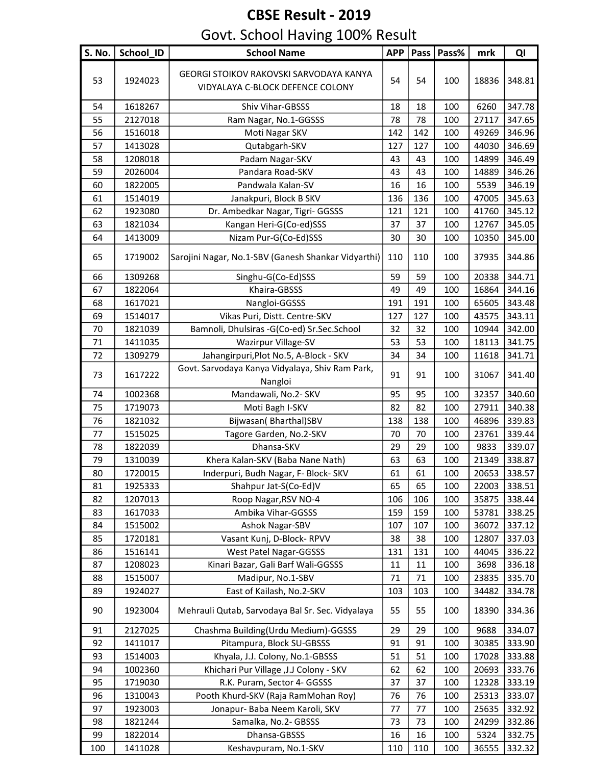| <b>S. No.</b> | School ID | <b>School Name</b>                                                          | <b>APP</b> | Pass | Pass% | mrk   | QI     |
|---------------|-----------|-----------------------------------------------------------------------------|------------|------|-------|-------|--------|
| 53            | 1924023   | GEORGI STOIKOV RAKOVSKI SARVODAYA KANYA<br>VIDYALAYA C-BLOCK DEFENCE COLONY | 54         | 54   | 100   | 18836 | 348.81 |
| 54            | 1618267   | Shiv Vihar-GBSSS                                                            | 18         | 18   | 100   | 6260  | 347.78 |
| 55            | 2127018   | Ram Nagar, No.1-GGSSS                                                       | 78         | 78   | 100   | 27117 | 347.65 |
| 56            | 1516018   | Moti Nagar SKV                                                              | 142        | 142  | 100   | 49269 | 346.96 |
| 57            | 1413028   | Qutabgarh-SKV                                                               | 127        | 127  | 100   | 44030 | 346.69 |
| 58            | 1208018   | Padam Nagar-SKV                                                             | 43         | 43   | 100   | 14899 | 346.49 |
| 59            | 2026004   | Pandara Road-SKV                                                            | 43         | 43   | 100   | 14889 | 346.26 |
| 60            | 1822005   | Pandwala Kalan-SV                                                           | 16         | 16   | 100   | 5539  | 346.19 |
| 61            | 1514019   | Janakpuri, Block B SKV                                                      | 136        | 136  | 100   | 47005 | 345.63 |
| 62            | 1923080   | Dr. Ambedkar Nagar, Tigri- GGSSS                                            | 121        | 121  | 100   | 41760 | 345.12 |
| 63            | 1821034   | Kangan Heri-G(Co-ed)SSS                                                     | 37         | 37   | 100   | 12767 | 345.05 |
| 64            | 1413009   | Nizam Pur-G(Co-Ed)SSS                                                       | 30         | 30   | 100   | 10350 | 345.00 |
| 65            | 1719002   | Sarojini Nagar, No.1-SBV (Ganesh Shankar Vidyarthi)                         | 110        | 110  | 100   | 37935 | 344.86 |
| 66            | 1309268   | Singhu-G(Co-Ed)SSS                                                          | 59         | 59   | 100   | 20338 | 344.71 |
| 67            | 1822064   | Khaira-GBSSS                                                                | 49         | 49   | 100   | 16864 | 344.16 |
| 68            | 1617021   | Nangloi-GGSSS                                                               | 191        | 191  | 100   | 65605 | 343.48 |
| 69            | 1514017   | Vikas Puri, Distt. Centre-SKV                                               | 127        | 127  | 100   | 43575 | 343.11 |
| 70            | 1821039   | Bamnoli, Dhulsiras -G(Co-ed) Sr.Sec.School                                  | 32         | 32   | 100   | 10944 | 342.00 |
| 71            | 1411035   | Wazirpur Village-SV                                                         | 53         | 53   | 100   | 18113 | 341.75 |
| 72            | 1309279   | Jahangirpuri, Plot No.5, A-Block - SKV                                      | 34         | 34   | 100   | 11618 | 341.71 |
| 73            | 1617222   | Govt. Sarvodaya Kanya Vidyalaya, Shiv Ram Park,<br>Nangloi                  | 91         | 91   | 100   | 31067 | 341.40 |
| 74            | 1002368   | Mandawali, No.2- SKV                                                        | 95         | 95   | 100   | 32357 | 340.60 |
| 75            | 1719073   | Moti Bagh I-SKV                                                             | 82         | 82   | 100   | 27911 | 340.38 |
| 76            | 1821032   | Bijwasan( Bharthal)SBV                                                      | 138        | 138  | 100   | 46896 | 339.83 |
| 77            | 1515025   | Tagore Garden, No.2-SKV                                                     | 70         | 70   | 100   | 23761 | 339.44 |
| 78            | 1822039   | Dhansa-SKV                                                                  | 29         | 29   | 100   | 9833  | 339.07 |
| 79            | 1310039   | Khera Kalan-SKV (Baba Nane Nath)                                            | 63         | 63   | 100   | 21349 | 338.87 |
| 80            | 1720015   | Inderpuri, Budh Nagar, F- Block- SKV                                        | 61         | 61   | 100   | 20653 | 338.57 |
| 81            | 1925333   | Shahpur Jat-S(Co-Ed)V                                                       | 65         | 65   | 100   | 22003 | 338.51 |
| 82            | 1207013   | Roop Nagar, RSV NO-4                                                        | 106        | 106  | 100   | 35875 | 338.44 |
| 83            | 1617033   | Ambika Vihar-GGSSS                                                          | 159        | 159  | 100   | 53781 | 338.25 |
| 84            | 1515002   | Ashok Nagar-SBV                                                             | 107        | 107  | 100   | 36072 | 337.12 |
| 85            | 1720181   | Vasant Kunj, D-Block-RPVV                                                   | 38         | 38   | 100   | 12807 | 337.03 |
| 86            | 1516141   | West Patel Nagar-GGSSS                                                      | 131        | 131  | 100   | 44045 | 336.22 |
| 87            | 1208023   | Kinari Bazar, Gali Barf Wali-GGSSS                                          | 11         | 11   | 100   | 3698  | 336.18 |
| 88            | 1515007   | Madipur, No.1-SBV                                                           | 71         | 71   | 100   | 23835 | 335.70 |
| 89            | 1924027   | East of Kailash, No.2-SKV                                                   | 103        | 103  | 100   | 34482 | 334.78 |
| 90            | 1923004   | Mehrauli Qutab, Sarvodaya Bal Sr. Sec. Vidyalaya                            | 55         | 55   | 100   | 18390 | 334.36 |
| 91            | 2127025   | Chashma Building(Urdu Medium)-GGSSS                                         | 29         | 29   | 100   | 9688  | 334.07 |
| 92            | 1411017   | Pitampura, Block SU-GBSSS                                                   | 91         | 91   | 100   | 30385 | 333.90 |
| 93            | 1514003   | Khyala, J.J. Colony, No.1-GBSSS                                             | 51         | 51   | 100   | 17028 | 333.88 |
| 94            | 1002360   | Khichari Pur Village , J.J Colony - SKV                                     | 62         | 62   | 100   | 20693 | 333.76 |
| 95            | 1719030   | R.K. Puram, Sector 4- GGSSS                                                 | 37         | 37   | 100   | 12328 | 333.19 |
| 96            | 1310043   | Pooth Khurd-SKV (Raja RamMohan Roy)                                         | 76         | 76   | 100   | 25313 | 333.07 |
| 97            | 1923003   | Jonapur- Baba Neem Karoli, SKV                                              | 77         | 77   | 100   | 25635 | 332.92 |
| 98            | 1821244   | Samalka, No.2- GBSSS                                                        | 73         | 73   | 100   | 24299 | 332.86 |
| 99            | 1822014   | Dhansa-GBSSS                                                                | 16         | 16   | 100   | 5324  | 332.75 |
| 100           | 1411028   | Keshavpuram, No.1-SKV                                                       | 110        | 110  | 100   | 36555 | 332.32 |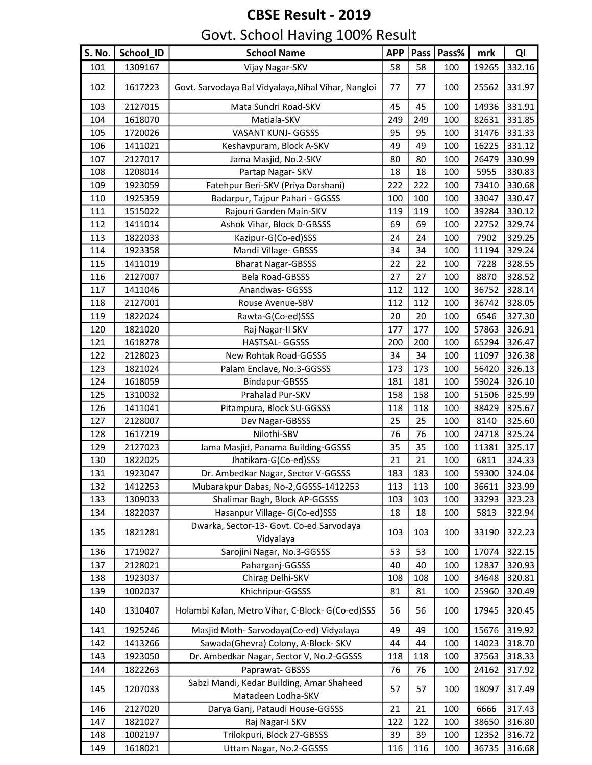| S. No. | School_ID | <b>School Name</b>                                              | <b>APP</b> |        | Pass   Pass% | mrk   | QI     |
|--------|-----------|-----------------------------------------------------------------|------------|--------|--------------|-------|--------|
| 101    | 1309167   | Vijay Nagar-SKV                                                 | 58         | 58     | 100          | 19265 | 332.16 |
| 102    | 1617223   | Govt. Sarvodaya Bal Vidyalaya, Nihal Vihar, Nangloi             | 77         | 77     | 100          | 25562 | 331.97 |
| 103    | 2127015   | Mata Sundri Road-SKV                                            | 45         | 45     | 100          | 14936 | 331.91 |
| 104    | 1618070   | Matiala-SKV                                                     | 249        | 249    | 100          | 82631 | 331.85 |
| 105    | 1720026   | VASANT KUNJ- GGSSS                                              | 95         | 95     | 100          | 31476 | 331.33 |
| 106    | 1411021   | Keshavpuram, Block A-SKV                                        | 49         | 49     | 100          | 16225 | 331.12 |
| 107    | 2127017   | Jama Masjid, No.2-SKV                                           | 80         | 80     | 100          | 26479 | 330.99 |
| 108    | 1208014   | Partap Nagar- SKV                                               | 18         | 18     | 100          | 5955  | 330.83 |
| 109    | 1923059   | Fatehpur Beri-SKV (Priya Darshani)                              | 222        | 222    | 100          | 73410 | 330.68 |
| 110    | 1925359   | Badarpur, Tajpur Pahari - GGSSS                                 | 100        | 100    | 100          | 33047 | 330.47 |
| 111    | 1515022   | Rajouri Garden Main-SKV                                         | 119        | 119    | 100          | 39284 | 330.12 |
| 112    | 1411014   | Ashok Vihar, Block D-GBSSS                                      | 69         | 69     | 100          | 22752 | 329.74 |
| 113    | 1822033   | Kazipur-G(Co-ed)SSS                                             | 24         | 24     | 100          | 7902  | 329.25 |
| 114    | 1923358   | Mandi Village- GBSSS                                            | 34         | 34     | 100          | 11194 | 329.24 |
| 115    | 1411019   | <b>Bharat Nagar-GBSSS</b>                                       | 22         | 22     | 100          | 7228  | 328.55 |
| 116    | 2127007   | Bela Road-GBSSS                                                 | 27         | $27\,$ | 100          | 8870  | 328.52 |
| 117    | 1411046   | Anandwas- GGSSS                                                 | 112        | 112    | 100          | 36752 | 328.14 |
| 118    | 2127001   | Rouse Avenue-SBV                                                | 112        | 112    | 100          | 36742 | 328.05 |
| 119    | 1822024   | Rawta-G(Co-ed)SSS                                               | 20         | 20     | 100          | 6546  | 327.30 |
| 120    | 1821020   | Raj Nagar-II SKV                                                | 177        | 177    | 100          | 57863 | 326.91 |
| 121    | 1618278   | HASTSAL- GGSSS                                                  | 200        | 200    | 100          | 65294 | 326.47 |
| 122    | 2128023   | New Rohtak Road-GGSSS                                           | 34         | 34     | 100          | 11097 | 326.38 |
| 123    | 1821024   | Palam Enclave, No.3-GGSSS                                       | 173        | 173    | 100          | 56420 | 326.13 |
| 124    | 1618059   | Bindapur-GBSSS                                                  | 181        | 181    | 100          | 59024 | 326.10 |
| 125    | 1310032   | Prahalad Pur-SKV                                                | 158        | 158    | 100          | 51506 | 325.99 |
| 126    | 1411041   | Pitampura, Block SU-GGSSS                                       | 118        | 118    | 100          | 38429 | 325.67 |
| 127    | 2128007   | Dev Nagar-GBSSS                                                 | 25         | 25     | 100          | 8140  | 325.60 |
| 128    | 1617219   | Nilothi-SBV                                                     | 76         | 76     | 100          | 24718 | 325.24 |
| 129    | 2127023   | Jama Masjid, Panama Building-GGSSS                              | 35         | 35     | 100          | 11381 | 325.17 |
| 130    | 1822025   | Jhatikara-G(Co-ed)SSS                                           | 21         | 21     | 100          | 6811  | 324.33 |
| 131    | 1923047   | Dr. Ambedkar Nagar, Sector V-GGSSS                              | 183        | 183    | 100          | 59300 | 324.04 |
| 132    | 1412253   | Mubarakpur Dabas, No-2, GGSSS-1412253                           | 113        | 113    | 100          | 36611 | 323.99 |
| 133    | 1309033   | Shalimar Bagh, Block AP-GGSSS                                   | 103        | 103    | 100          | 33293 | 323.23 |
| 134    | 1822037   | Hasanpur Village- G(Co-ed)SSS                                   | 18         | 18     | 100          | 5813  | 322.94 |
| 135    | 1821281   | Dwarka, Sector-13- Govt. Co-ed Sarvodaya<br>Vidyalaya           | 103        | 103    | 100          | 33190 | 322.23 |
| 136    | 1719027   | Sarojini Nagar, No.3-GGSSS                                      | 53         | 53     | 100          | 17074 | 322.15 |
| 137    | 2128021   | Paharganj-GGSSS                                                 | 40         | 40     | 100          | 12837 | 320.93 |
| 138    | 1923037   | Chirag Delhi-SKV                                                | 108        | 108    | 100          | 34648 | 320.81 |
| 139    | 1002037   | Khichripur-GGSSS                                                | 81         | 81     | 100          | 25960 | 320.49 |
| 140    | 1310407   | Holambi Kalan, Metro Vihar, C-Block-G(Co-ed)SSS                 | 56         | 56     | 100          | 17945 | 320.45 |
| 141    | 1925246   | Masjid Moth-Sarvodaya(Co-ed) Vidyalaya                          | 49         | 49     | 100          | 15676 | 319.92 |
| 142    | 1413266   | Sawada(Ghevra) Colony, A-Block- SKV                             | 44         | 44     | 100          | 14023 | 318.70 |
| 143    | 1923050   | Dr. Ambedkar Nagar, Sector V, No.2-GGSSS                        | 118        | 118    | 100          | 37563 | 318.33 |
| 144    | 1822263   | Paprawat- GBSSS                                                 | 76         | 76     | 100          | 24162 | 317.92 |
| 145    | 1207033   | Sabzi Mandi, Kedar Building, Amar Shaheed<br>Matadeen Lodha-SKV | 57         | 57     | 100          | 18097 | 317.49 |
| 146    | 2127020   | Darya Ganj, Pataudi House-GGSSS                                 | 21         | 21     | 100          | 6666  | 317.43 |
| 147    | 1821027   | Raj Nagar-I SKV                                                 | 122        | 122    | 100          | 38650 | 316.80 |
| 148    | 1002197   | Trilokpuri, Block 27-GBSSS                                      | 39         | 39     | 100          | 12352 | 316.72 |
| 149    | 1618021   | Uttam Nagar, No.2-GGSSS                                         | 116        | 116    | 100          | 36735 | 316.68 |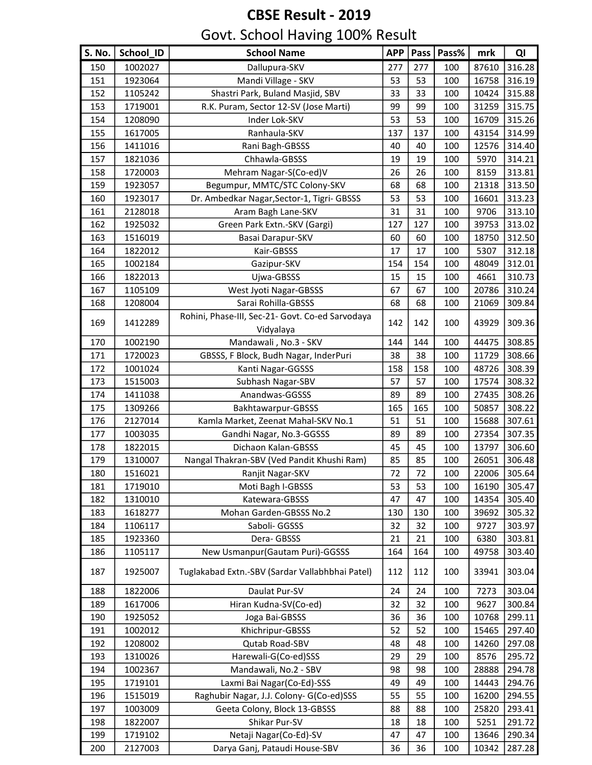| S. No. | School_ID | <b>School Name</b>                                            | <b>APP</b> | Pass | Pass% | mrk   | QI     |
|--------|-----------|---------------------------------------------------------------|------------|------|-------|-------|--------|
| 150    | 1002027   | Dallupura-SKV                                                 | 277        | 277  | 100   | 87610 | 316.28 |
| 151    | 1923064   | Mandi Village - SKV                                           | 53         | 53   | 100   | 16758 | 316.19 |
| 152    | 1105242   | Shastri Park, Buland Masjid, SBV                              | 33         | 33   | 100   | 10424 | 315.88 |
| 153    | 1719001   | R.K. Puram, Sector 12-SV (Jose Marti)                         | 99         | 99   | 100   | 31259 | 315.75 |
| 154    | 1208090   | Inder Lok-SKV                                                 | 53         | 53   | 100   | 16709 | 315.26 |
| 155    | 1617005   | Ranhaula-SKV                                                  | 137        | 137  | 100   | 43154 | 314.99 |
| 156    | 1411016   | Rani Bagh-GBSSS                                               | 40         | 40   | 100   | 12576 | 314.40 |
| 157    | 1821036   | Chhawla-GBSSS                                                 | 19         | 19   | 100   | 5970  | 314.21 |
| 158    | 1720003   | Mehram Nagar-S(Co-ed)V                                        | 26         | 26   | 100   | 8159  | 313.81 |
| 159    | 1923057   | Begumpur, MMTC/STC Colony-SKV                                 | 68         | 68   | 100   | 21318 | 313.50 |
| 160    | 1923017   | Dr. Ambedkar Nagar, Sector-1, Tigri- GBSSS                    | 53         | 53   | 100   | 16601 | 313.23 |
| 161    | 2128018   | Aram Bagh Lane-SKV                                            | 31         | 31   | 100   | 9706  | 313.10 |
| 162    | 1925032   | Green Park Extn.-SKV (Gargi)                                  | 127        | 127  | 100   | 39753 | 313.02 |
| 163    | 1516019   | Basai Darapur-SKV                                             | 60         | 60   | 100   | 18750 | 312.50 |
| 164    | 1822012   | Kair-GBSSS                                                    | 17         | 17   | 100   | 5307  | 312.18 |
| 165    | 1002184   | Gazipur-SKV                                                   | 154        | 154  | 100   | 48049 | 312.01 |
| 166    | 1822013   | Ujwa-GBSSS                                                    | 15         | 15   | 100   | 4661  | 310.73 |
| 167    | 1105109   | West Jyoti Nagar-GBSSS                                        | 67         | 67   | 100   | 20786 | 310.24 |
| 168    | 1208004   | Sarai Rohilla-GBSSS                                           | 68         | 68   | 100   | 21069 | 309.84 |
| 169    | 1412289   | Rohini, Phase-III, Sec-21- Govt. Co-ed Sarvodaya<br>Vidyalaya | 142        | 142  | 100   | 43929 | 309.36 |
| 170    | 1002190   | Mandawali, No.3 - SKV                                         | 144        | 144  | 100   | 44475 | 308.85 |
| 171    | 1720023   | GBSSS, F Block, Budh Nagar, InderPuri                         | 38         | 38   | 100   | 11729 | 308.66 |
| 172    | 1001024   | Kanti Nagar-GGSSS                                             | 158        | 158  | 100   | 48726 | 308.39 |
| 173    | 1515003   | Subhash Nagar-SBV                                             | 57         | 57   | 100   | 17574 | 308.32 |
| 174    | 1411038   | Anandwas-GGSSS                                                | 89         | 89   | 100   | 27435 | 308.26 |
| 175    | 1309266   | Bakhtawarpur-GBSSS                                            | 165        | 165  | 100   | 50857 | 308.22 |
| 176    | 2127014   | Kamla Market, Zeenat Mahal-SKV No.1                           | 51         | 51   | 100   | 15688 | 307.61 |
| 177    | 1003035   | Gandhi Nagar, No.3-GGSSS                                      | 89         | 89   | 100   | 27354 | 307.35 |
| 178    | 1822015   | Dichaon Kalan-GBSSS                                           | 45         | 45   | 100   | 13797 | 306.60 |
| 179    | 1310007   | Nangal Thakran-SBV (Ved Pandit Khushi Ram)                    | 85         | 85   | 100   | 26051 | 306.48 |
| 180    | 1516021   | Ranjit Nagar-SKV                                              | 72         | 72   | 100   | 22006 | 305.64 |
| 181    | 1719010   | Moti Bagh I-GBSSS                                             | 53         | 53   | 100   | 16190 | 305.47 |
| 182    | 1310010   | Katewara-GBSSS                                                | 47         | 47   | 100   | 14354 | 305.40 |
| 183    | 1618277   | Mohan Garden-GBSSS No.2                                       | 130        | 130  | 100   | 39692 | 305.32 |
| 184    | 1106117   | Saboli- GGSSS                                                 | 32         | 32   | 100   | 9727  | 303.97 |
| 185    | 1923360   | Dera-GBSSS                                                    | 21         | 21   | 100   | 6380  | 303.81 |
| 186    | 1105117   | New Usmanpur (Gautam Puri)-GGSSS                              | 164        | 164  | 100   | 49758 | 303.40 |
| 187    | 1925007   | Tuglakabad Extn.-SBV (Sardar Vallabhbhai Patel)               | 112        | 112  | 100   | 33941 | 303.04 |
| 188    | 1822006   | Daulat Pur-SV                                                 | 24         | 24   | 100   | 7273  | 303.04 |
| 189    | 1617006   | Hiran Kudna-SV(Co-ed)                                         | 32         | 32   | 100   | 9627  | 300.84 |
| 190    | 1925052   | Joga Bai-GBSSS                                                | 36         | 36   | 100   | 10768 | 299.11 |
| 191    | 1002012   | Khichripur-GBSSS                                              | 52         | 52   | 100   | 15465 | 297.40 |
| 192    | 1208002   | Qutab Road-SBV                                                | 48         | 48   | 100   | 14260 | 297.08 |
| 193    | 1310026   | Harewali-G(Co-ed)SSS                                          | 29         | 29   | 100   | 8576  | 295.72 |
| 194    | 1002367   | Mandawali, No.2 - SBV                                         | 98         | 98   | 100   | 28888 | 294.78 |
| 195    | 1719101   | Laxmi Bai Nagar(Co-Ed)-SSS                                    | 49         | 49   | 100   | 14443 | 294.76 |
| 196    | 1515019   | Raghubir Nagar, J.J. Colony- G(Co-ed)SSS                      | 55         | 55   | 100   | 16200 | 294.55 |
| 197    | 1003009   | Geeta Colony, Block 13-GBSSS                                  | 88         | 88   | 100   | 25820 | 293.41 |
| 198    | 1822007   | Shikar Pur-SV                                                 | 18         | 18   | 100   | 5251  | 291.72 |
| 199    | 1719102   | Netaji Nagar(Co-Ed)-SV                                        | 47         | 47   | 100   | 13646 | 290.34 |
| 200    | 2127003   | Darya Ganj, Pataudi House-SBV                                 | 36         | 36   | 100   | 10342 | 287.28 |